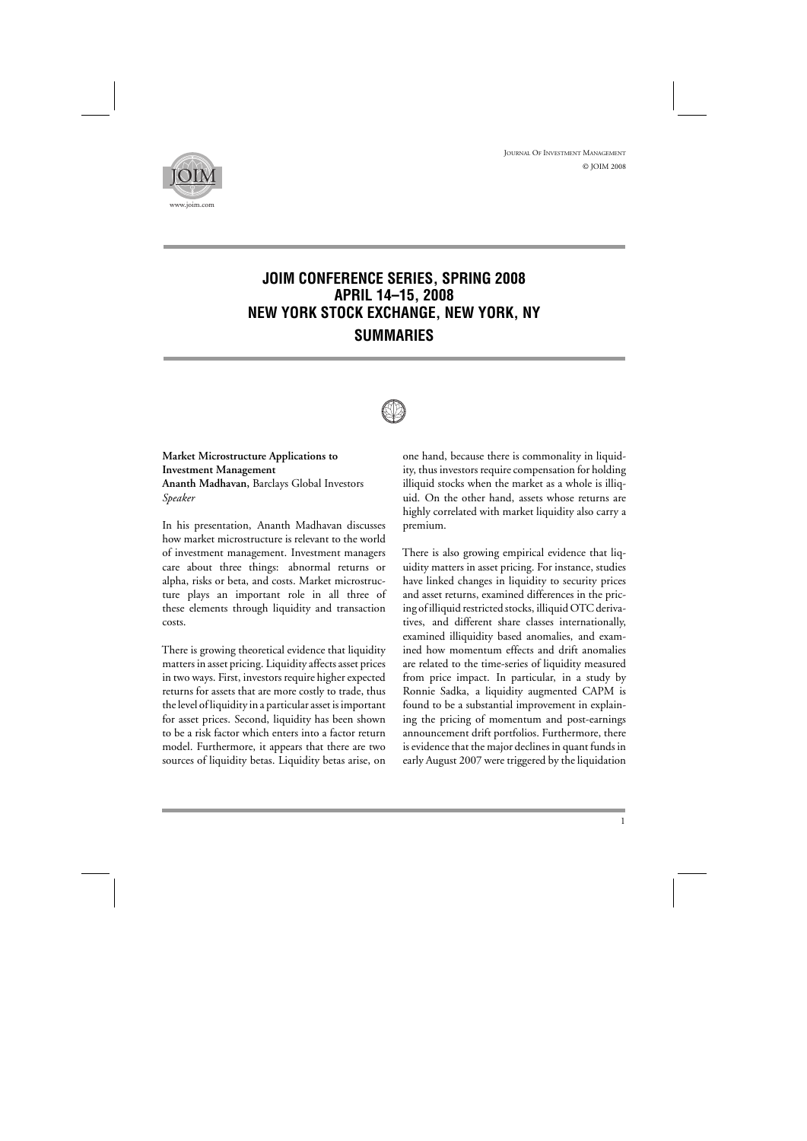

# **JOIM CONFERENCE SERIES, SPRING 2008 APRIL 14–15, 2008 NEW YORK STOCK EXCHANGE, NEW YORK, NY SUMMARIES**



**Market Microstructure Applications to Investment Management Ananth Madhavan,** Barclays Global Investors *Speaker*

In his presentation, Ananth Madhavan discusses how market microstructure is relevant to the world of investment management. Investment managers care about three things: abnormal returns or alpha, risks or beta, and costs. Market microstructure plays an important role in all three of these elements through liquidity and transaction costs.

There is growing theoretical evidence that liquidity matters in asset pricing. Liquidity affects asset prices in two ways. First, investors require higher expected returns for assets that are more costly to trade, thus the level of liquidity in a particular asset is important for asset prices. Second, liquidity has been shown to be a risk factor which enters into a factor return model. Furthermore, it appears that there are two sources of liquidity betas. Liquidity betas arise, on

one hand, because there is commonality in liquidity, thus investors require compensation for holding illiquid stocks when the market as a whole is illiquid. On the other hand, assets whose returns are highly correlated with market liquidity also carry a premium.

There is also growing empirical evidence that liquidity matters in asset pricing. For instance, studies have linked changes in liquidity to security prices and asset returns, examined differences in the pricing of illiquid restricted stocks, illiquid OTC derivatives, and different share classes internationally, examined illiquidity based anomalies, and examined how momentum effects and drift anomalies are related to the time-series of liquidity measured from price impact. In particular, in a study by Ronnie Sadka, a liquidity augmented CAPM is found to be a substantial improvement in explaining the pricing of momentum and post-earnings announcement drift portfolios. Furthermore, there is evidence that the major declines in quant funds in early August 2007 were triggered by the liquidation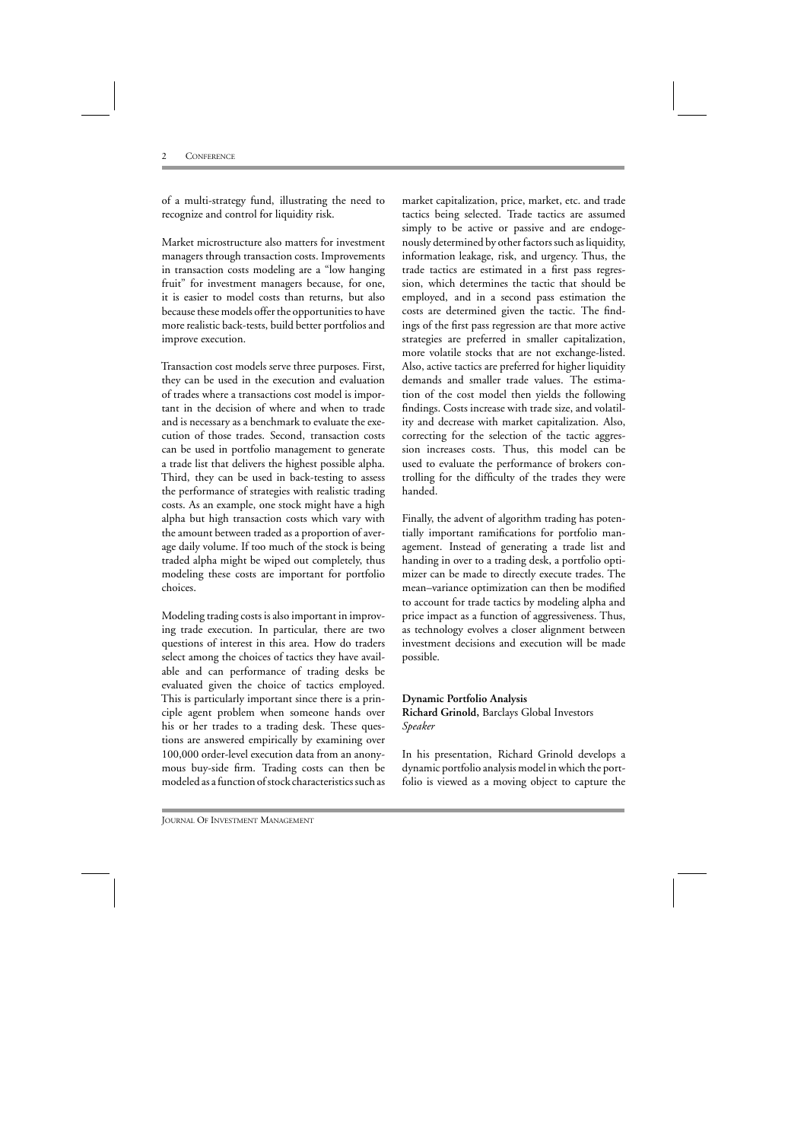of a multi-strategy fund, illustrating the need to recognize and control for liquidity risk.

Market microstructure also matters for investment managers through transaction costs. Improvements in transaction costs modeling are a "low hanging fruit" for investment managers because, for one, it is easier to model costs than returns, but also because these models offer the opportunities to have more realistic back-tests, build better portfolios and improve execution.

Transaction cost models serve three purposes. First, they can be used in the execution and evaluation of trades where a transactions cost model is important in the decision of where and when to trade and is necessary as a benchmark to evaluate the execution of those trades. Second, transaction costs can be used in portfolio management to generate a trade list that delivers the highest possible alpha. Third, they can be used in back-testing to assess the performance of strategies with realistic trading costs. As an example, one stock might have a high alpha but high transaction costs which vary with the amount between traded as a proportion of average daily volume. If too much of the stock is being traded alpha might be wiped out completely, thus modeling these costs are important for portfolio choices.

Modeling trading costs is also important in improving trade execution. In particular, there are two questions of interest in this area. How do traders select among the choices of tactics they have available and can performance of trading desks be evaluated given the choice of tactics employed. This is particularly important since there is a principle agent problem when someone hands over his or her trades to a trading desk. These questions are answered empirically by examining over 100,000 order-level execution data from an anonymous buy-side firm. Trading costs can then be modeled as afunction of stock characteristics such as

market capitalization, price, market, etc. and trade tactics being selected. Trade tactics are assumed simply to be active or passive and are endogenously determined by other factors such as liquidity, information leakage, risk, and urgency. Thus, the trade tactics are estimated in a first pass regression, which determines the tactic that should be employed, and in a second pass estimation the costs are determined given the tactic. The findings of the first pass regression are that more active strategies are preferred in smaller capitalization, more volatile stocks that are not exchange-listed. Also, active tactics are preferred for higher liquidity demands and smaller trade values. The estimation of the cost model then yields the following findings. Costs increase with trade size, and volatility and decrease with market capitalization. Also, correcting for the selection of the tactic aggression increases costs. Thus, this model can be used to evaluate the performance of brokers controlling for the difficulty of the trades they were handed.

Finally, the advent of algorithm trading has potentially important ramifications for portfolio management. Instead of generating a trade list and handing in over to a trading desk, a portfolio optimizer can be made to directly execute trades. The mean–variance optimization can then be modified to account for trade tactics by modeling alpha and price impact as a function of aggressiveness. Thus, as technology evolves a closer alignment between investment decisions and execution will be made possible.

#### **Dynamic Portfolio Analysis Richard Grinold,** Barclays Global Investors *Speaker*

In his presentation, Richard Grinold develops a dynamic portfolio analysis model in which the portfolio is viewed as a moving object to capture the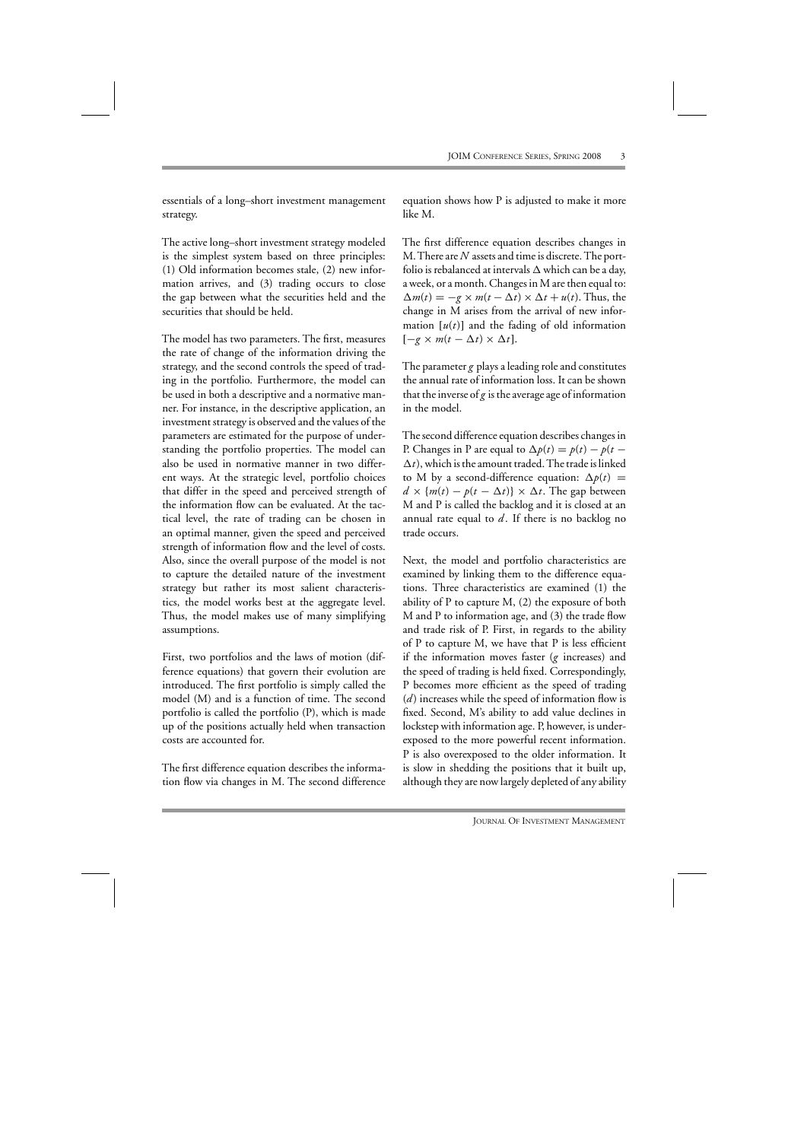essentials of a long–short investment management strategy.

The active long–short investment strategy modeled is the simplest system based on three principles: (1) Old information becomes stale, (2) new information arrives, and (3) trading occurs to close the gap between what the securities held and the securities that should be held.

The model has two parameters. The first, measures the rate of change of the information driving the strategy, and the second controls the speed of trading in the portfolio. Furthermore, the model can be used in both a descriptive and a normative manner. For instance, in the descriptive application, an investment strategy is observed and the values of the parameters are estimated for the purpose of understanding the portfolio properties. The model can also be used in normative manner in two different ways. At the strategic level, portfolio choices that differ in the speed and perceived strength of the information flow can be evaluated. At the tactical level, the rate of trading can be chosen in an optimal manner, given the speed and perceived strength of information flow and the level of costs. Also, since the overall purpose of the model is not to capture the detailed nature of the investment strategy but rather its most salient characteristics, the model works best at the aggregate level. Thus, the model makes use of many simplifying assumptions.

First, two portfolios and the laws of motion (difference equations) that govern their evolution are introduced. The first portfolio is simply called the model (M) and is a function of time. The second portfolio is called the portfolio (P), which is made up of the positions actually held when transaction costs are accounted for.

The first difference equation describes the information flow via changes in M. The second difference equation shows how P is adjusted to make it more like M.

The first difference equation describes changes in M.There are *N* assets and time is discrete. The portfolio is rebalanced at intervals  $\Delta$  which can be a day, a week, or a month. Changes in M are then equal to:  $\Delta m(t) = -g \times m(t - \Delta t) \times \Delta t + u(t)$ . Thus, the change in M arises from the arrival of new information  $[u(t)]$  and the fading of old information  $[-g \times m(t - \Delta t) \times \Delta t].$ 

The parameter*g* plays a leading role and constitutes the annual rate of information loss. It can be shown that the inverse of*g* is the average age of information in the model.

The second difference equation describes changes in P. Changes in P are equal to  $\Delta p(t) = p(t) - p(t \Delta t$ ), which is the amount traded. The trade is linked to M by a second-difference equation:  $\Delta p(t)$  =  $d \times \{m(t) - p(t - \Delta t)\} \times \Delta t$ . The gap between M and P is called the backlog and it is closed at an annual rate equal to  $d$ . If there is no backlog no trade occurs.

Next, the model and portfolio characteristics are examined by linking them to the difference equations. Three characteristics are examined (1) the ability of P to capture M, (2) the exposure of both M and P to information age, and (3) the trade flow and trade risk of P. First, in regards to the ability of P to capture M, we have that P is less efficient if the information moves faster (*g* increases) and the speed of trading is held fixed. Correspondingly, P becomes more efficient as the speed of trading (*d*) increases while the speed of information flow is fixed. Second, M's ability to add value declines in lockstep with information age. P, however, is underexposed to the more powerful recent information. P is also overexposed to the older information. It is slow in shedding the positions that it built up, although they are now largely depleted of any ability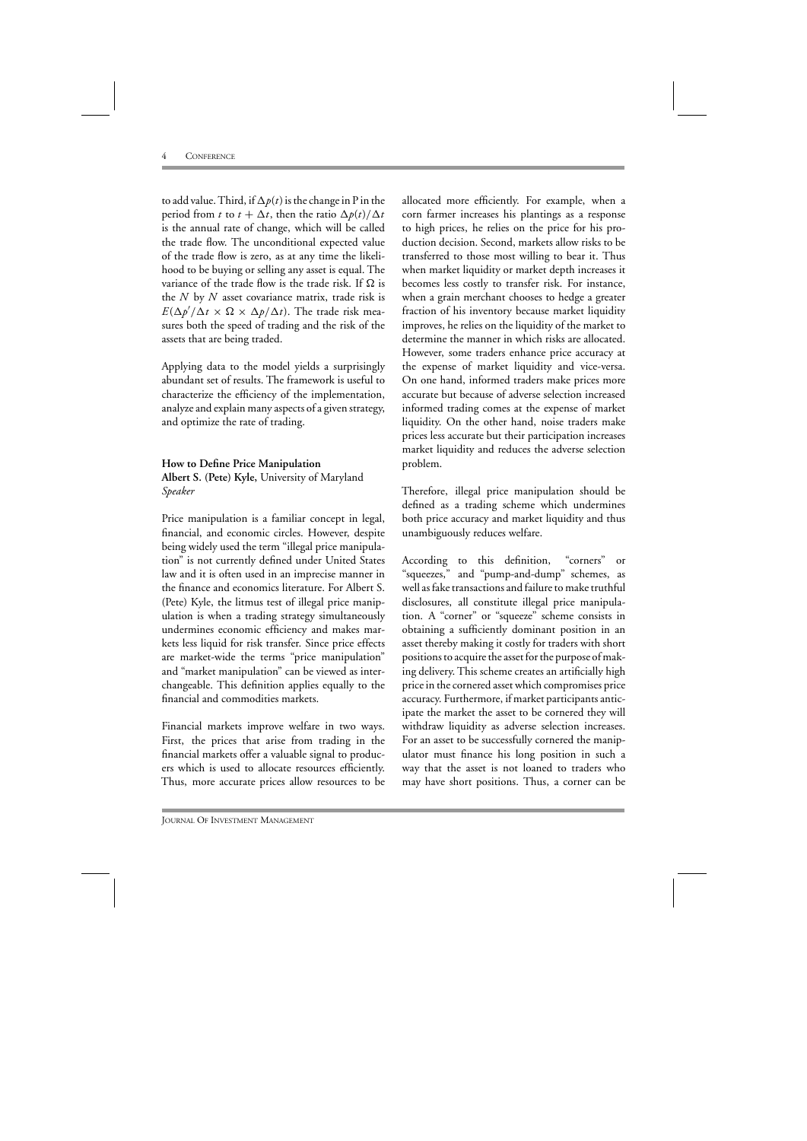to add value. Third, if  $\Delta p(t)$  is the change in P in the period from *t* to  $t + \Delta t$ , then the ratio  $\Delta p(t)/\Delta t$ is the annual rate of change, which will be called the trade flow. The unconditional expected value of the trade flow is zero, as at any time the likelihood to be buying or selling any asset is equal. The variance of the trade flow is the trade risk. If  $\Omega$  is the *N* by *N* asset covariance matrix, trade risk is  $E(\Delta p'/\Delta t \times \Omega \times \Delta p/\Delta t)$ . The trade risk measures both the speed of trading and the risk of the assets that are being traded.

Applying data to the model yields a surprisingly abundant set of results. The framework is useful to characterize the efficiency of the implementation, analyze and explain many aspects of a given strategy, and optimize the rate of trading.

#### **How to Define Price Manipulation**

**Albert S. (Pete) Kyle,** University of Maryland *Speaker*

Price manipulation is a familiar concept in legal, financial, and economic circles. However, despite being widely used the term "illegal price manipulation" is not currently defined under United States law and it is often used in an imprecise manner in the finance and economics literature. For Albert S. (Pete) Kyle, the litmus test of illegal price manipulation is when a trading strategy simultaneously undermines economic efficiency and makes markets less liquid for risk transfer. Since price effects are market-wide the terms "price manipulation" and "market manipulation" can be viewed as interchangeable. This definition applies equally to the financial and commodities markets.

Financial markets improve welfare in two ways. First, the prices that arise from trading in the financial markets offer a valuable signal to producers which is used to allocate resources efficiently. Thus, more accurate prices allow resources to be

allocated more efficiently. For example, when a corn farmer increases his plantings as a response to high prices, he relies on the price for his production decision. Second, markets allow risks to be transferred to those most willing to bear it. Thus when market liquidity or market depth increases it becomes less costly to transfer risk. For instance, when a grain merchant chooses to hedge a greater fraction of his inventory because market liquidity improves, he relies on the liquidity of the market to determine the manner in which risks are allocated. However, some traders enhance price accuracy at the expense of market liquidity and vice-versa. On one hand, informed traders make prices more accurate but because of adverse selection increased informed trading comes at the expense of market liquidity. On the other hand, noise traders make prices less accurate but their participation increases market liquidity and reduces the adverse selection problem.

Therefore, illegal price manipulation should be defined as a trading scheme which undermines both price accuracy and market liquidity and thus unambiguously reduces welfare.

According to this definition, "corners" or "squeezes," and "pump-and-dump" schemes, as well as fake transactions and failure to make truthful disclosures, all constitute illegal price manipulation. A "corner" or "squeeze" scheme consists in obtaining a sufficiently dominant position in an asset thereby making it costly for traders with short positions to acquire the asset for the purpose of making delivery. This scheme creates an artificially high price in the cornered asset which compromises price accuracy. Furthermore, if market participants anticipate the market the asset to be cornered they will withdraw liquidity as adverse selection increases. For an asset to be successfully cornered the manipulator must finance his long position in such a way that the asset is not loaned to traders who may have short positions. Thus, a corner can be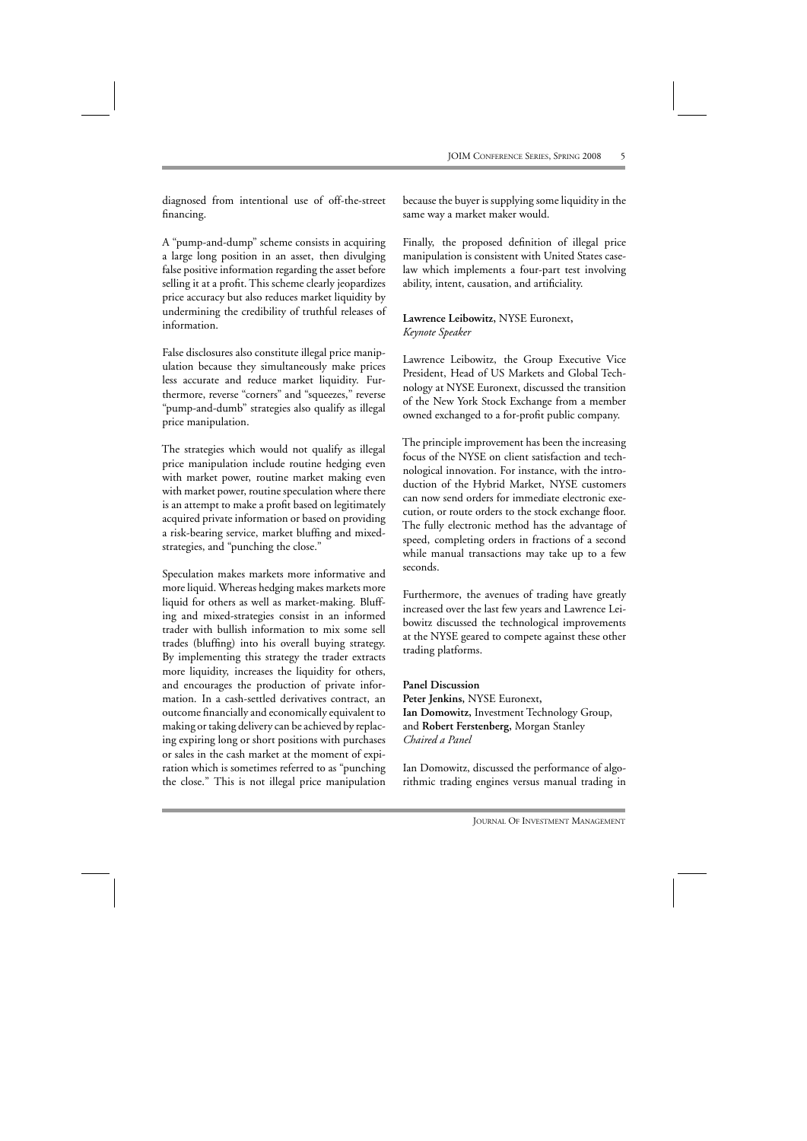diagnosed from intentional use of off-the-street financing.

A "pump-and-dump" scheme consists in acquiring a large long position in an asset, then divulging false positive information regarding the asset before selling it at a profit. This scheme clearly jeopardizes price accuracy but also reduces market liquidity by undermining the credibility of truthful releases of information.

False disclosures also constitute illegal price manipulation because they simultaneously make prices less accurate and reduce market liquidity. Furthermore, reverse "corners" and "squeezes," reverse "pump-and-dumb" strategies also qualify as illegal price manipulation.

The strategies which would not qualify as illegal price manipulation include routine hedging even with market power, routine market making even with market power, routine speculation where there is an attempt to make a profit based on legitimately acquired private information or based on providing a risk-bearing service, market bluffing and mixedstrategies, and "punching the close."

Speculation makes markets more informative and more liquid. Whereas hedging makes markets more liquid for others as well as market-making. Bluffing and mixed-strategies consist in an informed trader with bullish information to mix some sell trades (bluffing) into his overall buying strategy. By implementing this strategy the trader extracts more liquidity, increases the liquidity for others, and encourages the production of private information. In a cash-settled derivatives contract, an outcome financially and economically equivalent to making or taking delivery can be achieved by replacing expiring long or short positions with purchases or sales in the cash market at the moment of expiration which is sometimes referred to as "punching the close." This is not illegal price manipulation

because the buyer is supplying some liquidity in the same way a market maker would.

Finally, the proposed definition of illegal price manipulation is consistent with United States caselaw which implements a four-part test involving ability, intent, causation, and artificiality.

#### **Lawrence Leibowitz,** NYSE Euronext**,** *Keynote Speaker*

Lawrence Leibowitz, the Group Executive Vice President, Head of US Markets and Global Technology at NYSE Euronext, discussed the transition of the New York Stock Exchange from a member owned exchanged to a for-profit public company.

The principle improvement has been the increasing focus of the NYSE on client satisfaction and technological innovation. For instance, with the introduction of the Hybrid Market, NYSE customers can now send orders for immediate electronic execution, or route orders to the stock exchange floor. The fully electronic method has the advantage of speed, completing orders in fractions of a second while manual transactions may take up to a few seconds.

Furthermore, the avenues of trading have greatly increased over the last few years and Lawrence Leibowitz discussed the technological improvements at the NYSE geared to compete against these other trading platforms.

**Panel Discussion Peter Jenkins,** NYSE Euronext**, Ian Domowitz,** Investment Technology Group, and **Robert Ferstenberg,** Morgan Stanley *Chaired a Panel*

Ian Domowitz, discussed the performance of algorithmic trading engines versus manual trading in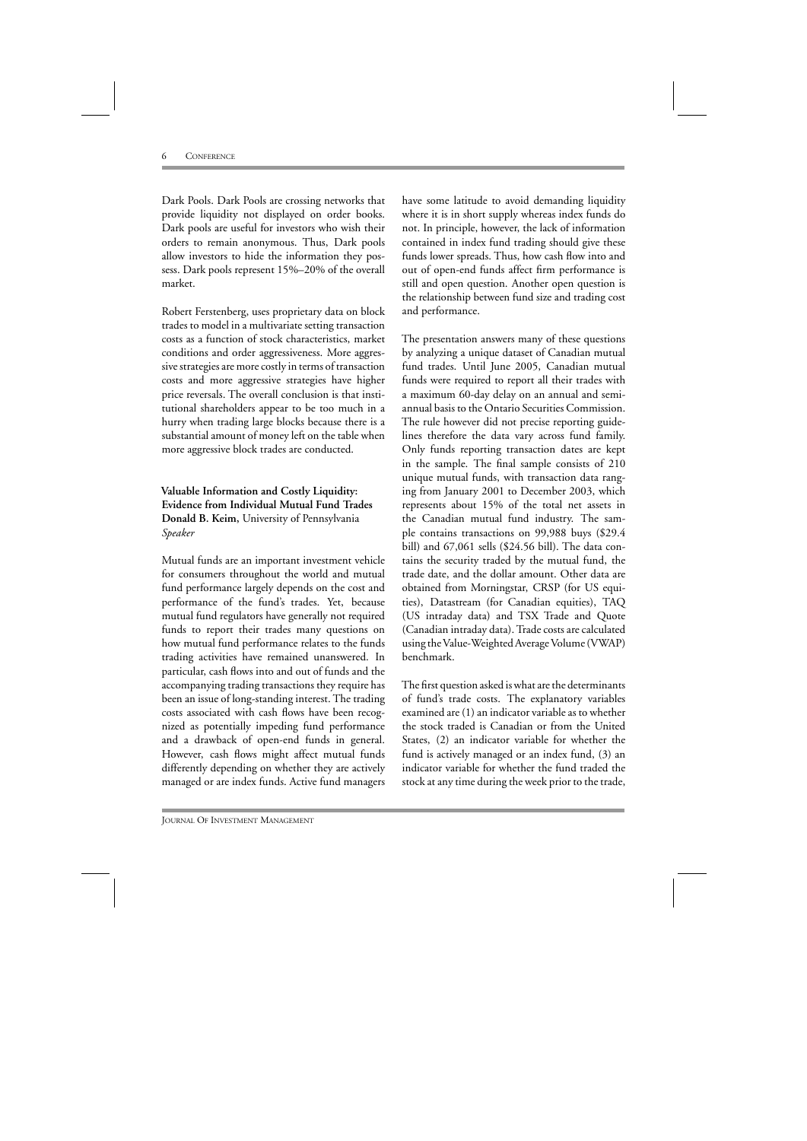Dark Pools. Dark Pools are crossing networks that provide liquidity not displayed on order books. Dark pools are useful for investors who wish their orders to remain anonymous. Thus, Dark pools allow investors to hide the information they possess. Dark pools represent 15%–20% of the overall market.

Robert Ferstenberg, uses proprietary data on block trades to model in a multivariate setting transaction costs as a function of stock characteristics, market conditions and order aggressiveness. More aggressive strategies are more costly in terms of transaction costs and more aggressive strategies have higher price reversals. The overall conclusion is that institutional shareholders appear to be too much in a hurry when trading large blocks because there is a substantial amount of money left on the table when more aggressive block trades are conducted.

### **Valuable Information and Costly Liquidity: Evidence from Individual Mutual Fund Trades Donald B. Keim,** University of Pennsylvania *Speaker*

Mutual funds are an important investment vehicle for consumers throughout the world and mutual fund performance largely depends on the cost and performance of the fund's trades. Yet, because mutual fund regulators have generally not required funds to report their trades many questions on how mutual fund performance relates to the funds trading activities have remained unanswered. In particular, cash flows into and out of funds and the accompanying trading transactions they require has been an issue of long-standing interest. The trading costs associated with cash flows have been recognized as potentially impeding fund performance and a drawback of open-end funds in general. However, cash flows might affect mutual funds differently depending on whether they are actively managed or are index funds. Active fund managers

have some latitude to avoid demanding liquidity where it is in short supply whereas index funds do not. In principle, however, the lack of information contained in index fund trading should give these funds lower spreads. Thus, how cash flow into and out of open-end funds affect firm performance is still and open question. Another open question is the relationship between fund size and trading cost and performance.

The presentation answers many of these questions by analyzing a unique dataset of Canadian mutual fund trades. Until June 2005, Canadian mutual funds were required to report all their trades with a maximum 60-day delay on an annual and semiannual basis to the Ontario Securities Commission. The rule however did not precise reporting guidelines therefore the data vary across fund family. Only funds reporting transaction dates are kept in the sample. The final sample consists of 210 unique mutual funds, with transaction data ranging from January 2001 to December 2003, which represents about 15% of the total net assets in the Canadian mutual fund industry. The sample contains transactions on 99,988 buys (\$29.4 bill) and 67,061 sells (\$24.56 bill). The data contains the security traded by the mutual fund, the trade date, and the dollar amount. Other data are obtained from Morningstar, CRSP (for US equities), Datastream (for Canadian equities), TAQ (US intraday data) and TSX Trade and Quote (Canadian intraday data). Trade costs are calculated using the Value-Weighted Average Volume (VWAP) benchmark.

The first question asked is what are the determinants of fund's trade costs. The explanatory variables examined are (1) an indicator variable as to whether the stock traded is Canadian or from the United States, (2) an indicator variable for whether the fund is actively managed or an index fund, (3) an indicator variable for whether the fund traded the stock at any time during the week prior to the trade,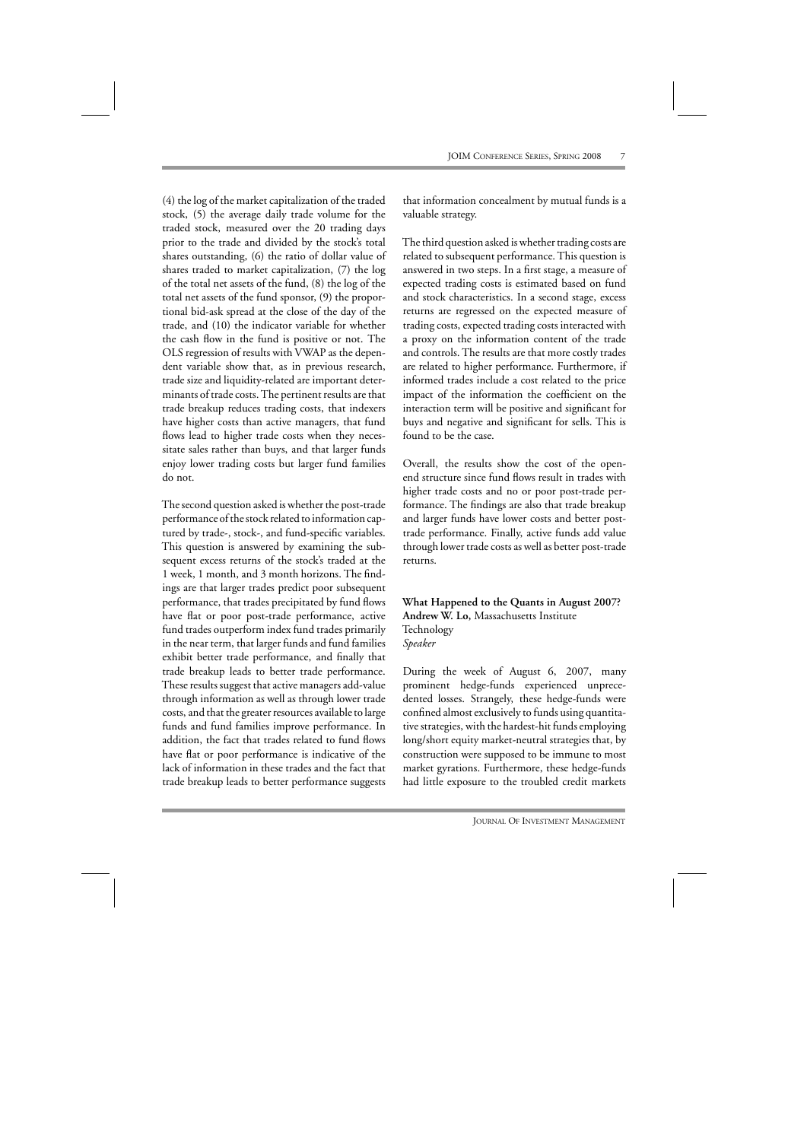(4) the log of the market capitalization of the traded stock, (5) the average daily trade volume for the traded stock, measured over the 20 trading days prior to the trade and divided by the stock's total shares outstanding, (6) the ratio of dollar value of shares traded to market capitalization, (7) the log of the total net assets of the fund, (8) the log of the total net assets of the fund sponsor, (9) the proportional bid-ask spread at the close of the day of the trade, and (10) the indicator variable for whether the cash flow in the fund is positive or not. The OLS regression of results with VWAP as the dependent variable show that, as in previous research, trade size and liquidity-related are important determinants of trade costs. The pertinent results are that trade breakup reduces trading costs, that indexers have higher costs than active managers, that fund flows lead to higher trade costs when they necessitate sales rather than buys, and that larger funds enjoy lower trading costs but larger fund families do not.

The second question asked is whether the post-trade performance of the stock related to information captured by trade-, stock-, and fund-specific variables. This question is answered by examining the subsequent excess returns of the stock's traded at the 1 week, 1 month, and 3 month horizons. The findings are that larger trades predict poor subsequent performance, that trades precipitated by fund flows have flat or poor post-trade performance, active fund trades outperform index fund trades primarily in the near term, that larger funds and fund families exhibit better trade performance, and finally that trade breakup leads to better trade performance. These results suggest that active managers add-value through information as well as through lower trade costs, and that the greater resources available to large funds and fund families improve performance. In addition, the fact that trades related to fund flows have flat or poor performance is indicative of the lack of information in these trades and the fact that trade breakup leads to better performance suggests

that information concealment by mutual funds is a valuable strategy.

The third question asked is whether trading costs are related to subsequent performance. This question is answered in two steps. In a first stage, a measure of expected trading costs is estimated based on fund and stock characteristics. In a second stage, excess returns are regressed on the expected measure of trading costs, expected trading costs interacted with a proxy on the information content of the trade and controls. The results are that more costly trades are related to higher performance. Furthermore, if informed trades include a cost related to the price impact of the information the coefficient on the interaction term will be positive and significant for buys and negative and significant for sells. This is found to be the case.

Overall, the results show the cost of the openend structure since fund flows result in trades with higher trade costs and no or poor post-trade performance. The findings are also that trade breakup and larger funds have lower costs and better posttrade performance. Finally, active funds add value through lower trade costs as well as better post-trade returns.

**What Happened to the Quants in August 2007? Andrew W. Lo,** Massachusetts Institute Technology *Speaker*

During the week of August 6, 2007, many prominent hedge-funds experienced unprecedented losses. Strangely, these hedge-funds were confined almost exclusively to funds using quantitative strategies, with the hardest-hit funds employing long/short equity market-neutral strategies that, by construction were supposed to be immune to most market gyrations. Furthermore, these hedge-funds had little exposure to the troubled credit markets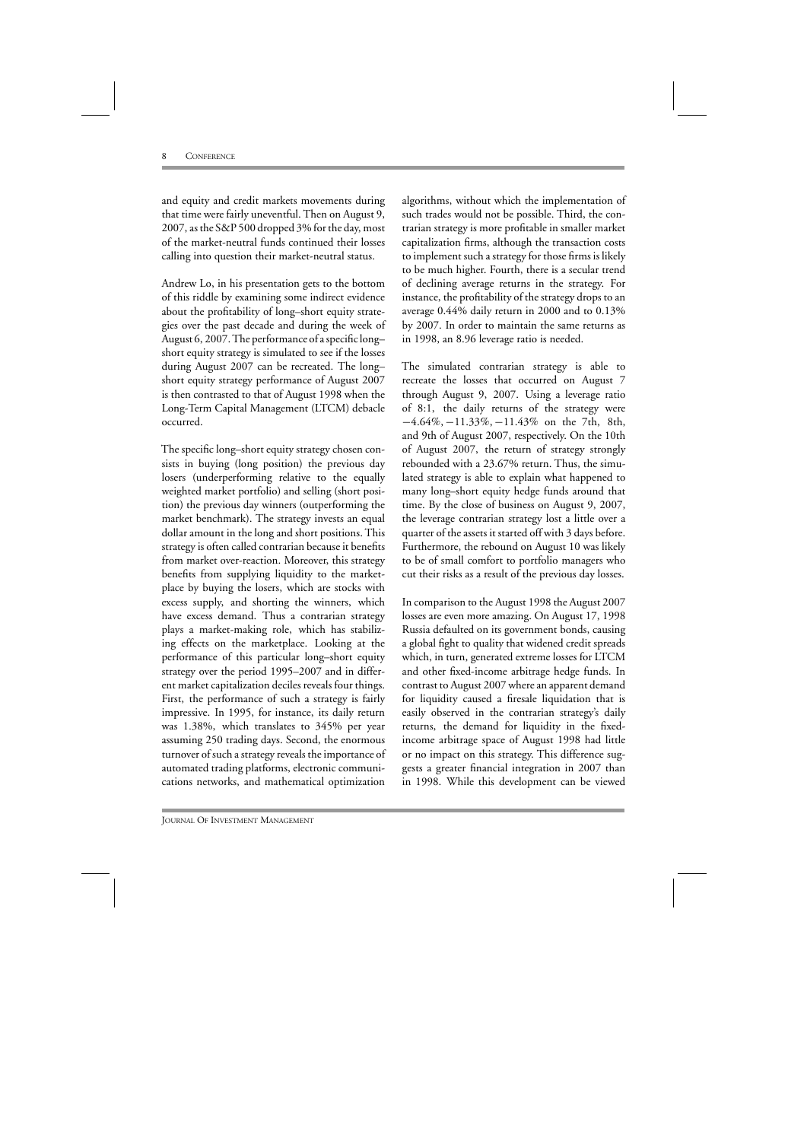and equity and credit markets movements during that time were fairly uneventful. Then on August 9, 2007, as the S&P 500 dropped 3% for the day, most of the market-neutral funds continued their losses calling into question their market-neutral status.

Andrew Lo, in his presentation gets to the bottom of this riddle by examining some indirect evidence about the profitability of long–short equity strategies over the past decade and during the week of August 6, 2007. The performance of a specific long– short equity strategy is simulated to see if the losses during August 2007 can be recreated. The long– short equity strategy performance of August 2007 is then contrasted to that of August 1998 when the Long-Term Capital Management (LTCM) debacle occurred.

The specific long–short equity strategy chosen consists in buying (long position) the previous day losers (underperforming relative to the equally weighted market portfolio) and selling (short position) the previous day winners (outperforming the market benchmark). The strategy invests an equal dollar amount in the long and short positions. This strategy is often called contrarian because it benefits from market over-reaction. Moreover, this strategy benefits from supplying liquidity to the marketplace by buying the losers, which are stocks with excess supply, and shorting the winners, which have excess demand. Thus a contrarian strategy plays a market-making role, which has stabilizing effects on the marketplace. Looking at the performance of this particular long–short equity strategy over the period 1995–2007 and in different market capitalization deciles reveals four things. First, the performance of such a strategy is fairly impressive. In 1995, for instance, its daily return was 1.38%, which translates to 345% per year assuming 250 trading days. Second, the enormous turnover of such a strategy reveals the importance of automated trading platforms, electronic communications networks, and mathematical optimization

algorithms, without which the implementation of such trades would not be possible. Third, the contrarian strategy is more profitable in smaller market capitalization firms, although the transaction costs to implement such a strategy for those firms is likely to be much higher. Fourth, there is a secular trend of declining average returns in the strategy. For instance, the profitability of the strategy drops to an average 0.44% daily return in 2000 and to 0.13% by 2007. In order to maintain the same returns as in 1998, an 8.96 leverage ratio is needed.

The simulated contrarian strategy is able to recreate the losses that occurred on August 7 through August 9, 2007. Using a leverage ratio of 8:1, the daily returns of the strategy were −4.64%, −11.33%, −11.43% on the 7th, 8th, and 9th of August 2007, respectively. On the 10th of August 2007, the return of strategy strongly rebounded with a 23.67% return. Thus, the simulated strategy is able to explain what happened to many long–short equity hedge funds around that time. By the close of business on August 9, 2007, the leverage contrarian strategy lost a little over a quarter of the assets it started off with 3 days before. Furthermore, the rebound on August 10 was likely to be of small comfort to portfolio managers who cut their risks as a result of the previous day losses.

In comparison to the August 1998 the August 2007 losses are even more amazing. On August 17, 1998 Russia defaulted on its government bonds, causing a global fight to quality that widened credit spreads which, in turn, generated extreme losses for LTCM and other fixed-income arbitrage hedge funds. In contrast to August 2007 where an apparent demand for liquidity caused a firesale liquidation that is easily observed in the contrarian strategy's daily returns, the demand for liquidity in the fixedincome arbitrage space of August 1998 had little or no impact on this strategy. This difference suggests a greater financial integration in 2007 than in 1998. While this development can be viewed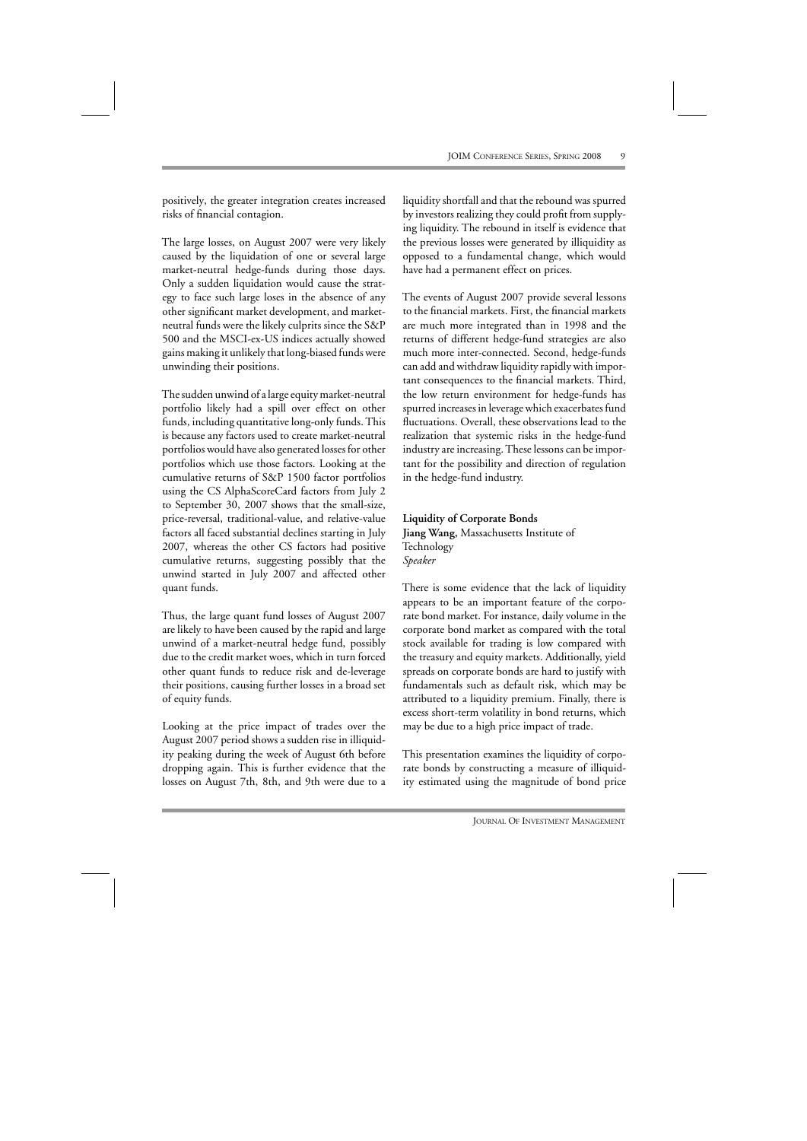positively, the greater integration creates increased risks of financial contagion.

The large losses, on August 2007 were very likely caused by the liquidation of one or several large market-neutral hedge-funds during those days. Only a sudden liquidation would cause the strategy to face such large loses in the absence of any other significant market development, and marketneutral funds were the likely culprits since the S&P 500 and the MSCI-ex-US indices actually showed gains making it unlikely that long-biased funds were unwinding their positions.

The sudden unwind of a large equity market-neutral portfolio likely had a spill over effect on other funds, including quantitative long-only funds. This is because any factors used to create market-neutral portfolios would have also generated losses for other portfolios which use those factors. Looking at the cumulative returns of S&P 1500 factor portfolios using the CS AlphaScoreCard factors from July 2 to September 30, 2007 shows that the small-size, price-reversal, traditional-value, and relative-value factors all faced substantial declines starting in July 2007, whereas the other CS factors had positive cumulative returns, suggesting possibly that the unwind started in July 2007 and affected other quant funds.

Thus, the large quant fund losses of August 2007 are likely to have been caused by the rapid and large unwind of a market-neutral hedge fund, possibly due to the credit market woes, which in turn forced other quant funds to reduce risk and de-leverage their positions, causing further losses in a broad set of equity funds.

Looking at the price impact of trades over the August 2007 period shows a sudden rise in illiquidity peaking during the week of August 6th before dropping again. This is further evidence that the losses on August 7th, 8th, and 9th were due to a

liquidity shortfall and that the rebound was spurred by investors realizing they could profit from supplying liquidity. The rebound in itself is evidence that the previous losses were generated by illiquidity as opposed to a fundamental change, which would have had a permanent effect on prices.

The events of August 2007 provide several lessons to the financial markets. First, the financial markets are much more integrated than in 1998 and the returns of different hedge-fund strategies are also much more inter-connected. Second, hedge-funds can add and withdraw liquidity rapidly with important consequences to the financial markets. Third, the low return environment for hedge-funds has spurred increases in leverage which exacerbates fund fluctuations. Overall, these observations lead to the realization that systemic risks in the hedge-fund industry are increasing. These lessons can be important for the possibility and direction of regulation in the hedge-fund industry.

# **Liquidity of Corporate Bonds Jiang Wang,** Massachusetts Institute of Technology *Speaker*

There is some evidence that the lack of liquidity appears to be an important feature of the corporate bond market. For instance, daily volume in the corporate bond market as compared with the total stock available for trading is low compared with the treasury and equity markets. Additionally, yield spreads on corporate bonds are hard to justify with fundamentals such as default risk, which may be attributed to a liquidity premium. Finally, there is excess short-term volatility in bond returns, which may be due to a high price impact of trade.

This presentation examines the liquidity of corporate bonds by constructing a measure of illiquidity estimated using the magnitude of bond price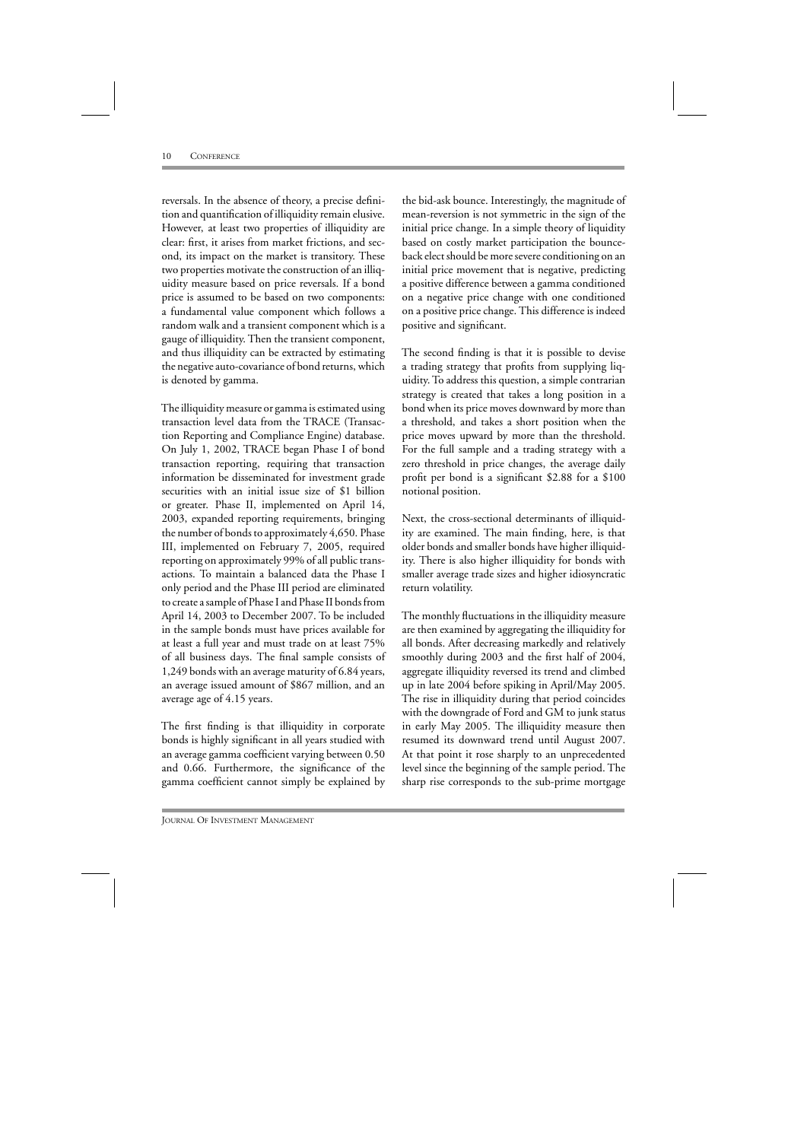reversals. In the absence of theory, a precise definition and quantification of illiquidity remain elusive. However, at least two properties of illiquidity are clear: first, it arises from market frictions, and second, its impact on the market is transitory. These two properties motivate the construction of an illiquidity measure based on price reversals. If a bond price is assumed to be based on two components: a fundamental value component which follows a random walk and a transient component which is a gauge of illiquidity. Then the transient component, and thus illiquidity can be extracted by estimating the negative auto-covariance of bond returns, which is denoted by gamma.

The illiquidity measure or gamma is estimated using transaction level data from the TRACE (Transaction Reporting and Compliance Engine) database. On July 1, 2002, TRACE began Phase I of bond transaction reporting, requiring that transaction information be disseminated for investment grade securities with an initial issue size of \$1 billion or greater. Phase II, implemented on April 14, 2003, expanded reporting requirements, bringing the number of bonds to approximately 4,650. Phase III, implemented on February 7, 2005, required reporting on approximately 99% of all public transactions. To maintain a balanced data the Phase I only period and the Phase III period are eliminated to create a sample of Phase I and Phase II bonds from April 14, 2003 to December 2007. To be included in the sample bonds must have prices available for at least a full year and must trade on at least 75% of all business days. The final sample consists of 1,249 bonds with an average maturity of 6.84 years, an average issued amount of \$867 million, and an average age of 4.15 years.

The first finding is that illiquidity in corporate bonds is highly significant in all years studied with an average gamma coefficient varying between 0.50 and 0.66. Furthermore, the significance of the gamma coefficient cannot simply be explained by

the bid-ask bounce. Interestingly, the magnitude of mean-reversion is not symmetric in the sign of the initial price change. In a simple theory of liquidity based on costly market participation the bounceback elect should be more severe conditioning on an initial price movement that is negative, predicting a positive difference between a gamma conditioned on a negative price change with one conditioned on a positive price change. This difference is indeed positive and significant.

The second finding is that it is possible to devise a trading strategy that profits from supplying liquidity. To address this question, a simple contrarian strategy is created that takes a long position in a bond when its price moves downward by more than a threshold, and takes a short position when the price moves upward by more than the threshold. For the full sample and a trading strategy with a zero threshold in price changes, the average daily profit per bond is a significant \$2.88 for a \$100 notional position.

Next, the cross-sectional determinants of illiquidity are examined. The main finding, here, is that older bonds and smaller bonds have higher illiquidity. There is also higher illiquidity for bonds with smaller average trade sizes and higher idiosyncratic return volatility.

The monthly fluctuations in the illiquidity measure are then examined by aggregating the illiquidity for all bonds. After decreasing markedly and relatively smoothly during 2003 and the first half of 2004, aggregate illiquidity reversed its trend and climbed up in late 2004 before spiking in April/May 2005. The rise in illiquidity during that period coincides with the downgrade of Ford and GM to junk status in early May 2005. The illiquidity measure then resumed its downward trend until August 2007. At that point it rose sharply to an unprecedented level since the beginning of the sample period. The sharp rise corresponds to the sub-prime mortgage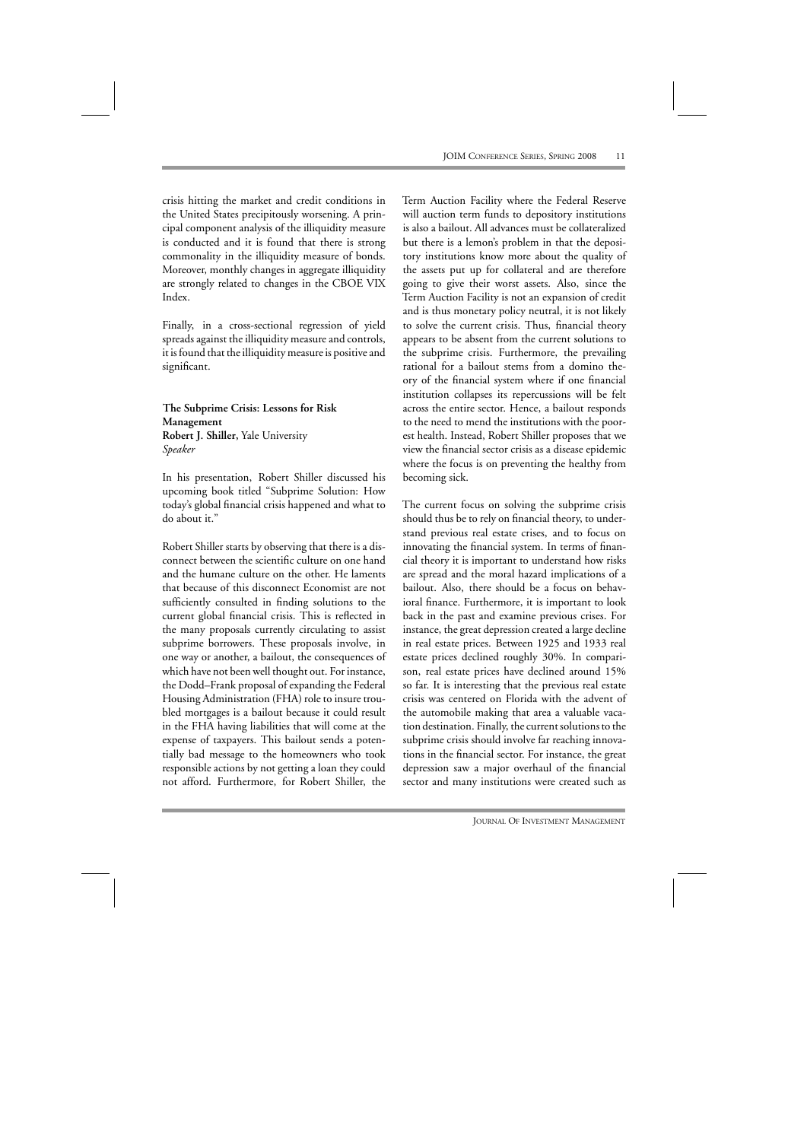crisis hitting the market and credit conditions in the United States precipitously worsening. A principal component analysis of the illiquidity measure is conducted and it is found that there is strong commonality in the illiquidity measure of bonds. Moreover, monthly changes in aggregate illiquidity are strongly related to changes in the CBOE VIX Index.

Finally, in a cross-sectional regression of yield spreads against the illiquidity measure and controls, it is found that the illiquidity measure is positive and significant.

**The Subprime Crisis: Lessons for Risk Management Robert J. Shiller,** Yale University *Speaker*

In his presentation, Robert Shiller discussed his upcoming book titled "Subprime Solution: How today's global financial crisis happened and what to do about it."

Robert Shiller starts by observing that there is a disconnect between the scientific culture on one hand and the humane culture on the other. He laments that because of this disconnect Economist are not sufficiently consulted in finding solutions to the current global financial crisis. This is reflected in the many proposals currently circulating to assist subprime borrowers. These proposals involve, in one way or another, a bailout, the consequences of which have not been well thought out. For instance, the Dodd–Frank proposal of expanding the Federal Housing Administration (FHA) role to insure troubled mortgages is a bailout because it could result in the FHA having liabilities that will come at the expense of taxpayers. This bailout sends a potentially bad message to the homeowners who took responsible actions by not getting a loan they could not afford. Furthermore, for Robert Shiller, the

Term Auction Facility where the Federal Reserve will auction term funds to depository institutions is also a bailout. All advances must be collateralized but there is a lemon's problem in that the depository institutions know more about the quality of the assets put up for collateral and are therefore going to give their worst assets. Also, since the Term Auction Facility is not an expansion of credit and is thus monetary policy neutral, it is not likely to solve the current crisis. Thus, financial theory appears to be absent from the current solutions to the subprime crisis. Furthermore, the prevailing rational for a bailout stems from a domino theory of the financial system where if one financial institution collapses its repercussions will be felt across the entire sector. Hence, a bailout responds to the need to mend the institutions with the poorest health. Instead, Robert Shiller proposes that we view the financial sector crisis as a disease epidemic where the focus is on preventing the healthy from becoming sick.

The current focus on solving the subprime crisis should thus be to rely on financial theory, to understand previous real estate crises, and to focus on innovating the financial system. In terms of financial theory it is important to understand how risks are spread and the moral hazard implications of a bailout. Also, there should be a focus on behavioral finance. Furthermore, it is important to look back in the past and examine previous crises. For instance, the great depression created a large decline in real estate prices. Between 1925 and 1933 real estate prices declined roughly 30%. In comparison, real estate prices have declined around 15% so far. It is interesting that the previous real estate crisis was centered on Florida with the advent of the automobile making that area a valuable vacation destination. Finally, the current solutions to the subprime crisis should involve far reaching innovations in the financial sector. For instance, the great depression saw a major overhaul of the financial sector and many institutions were created such as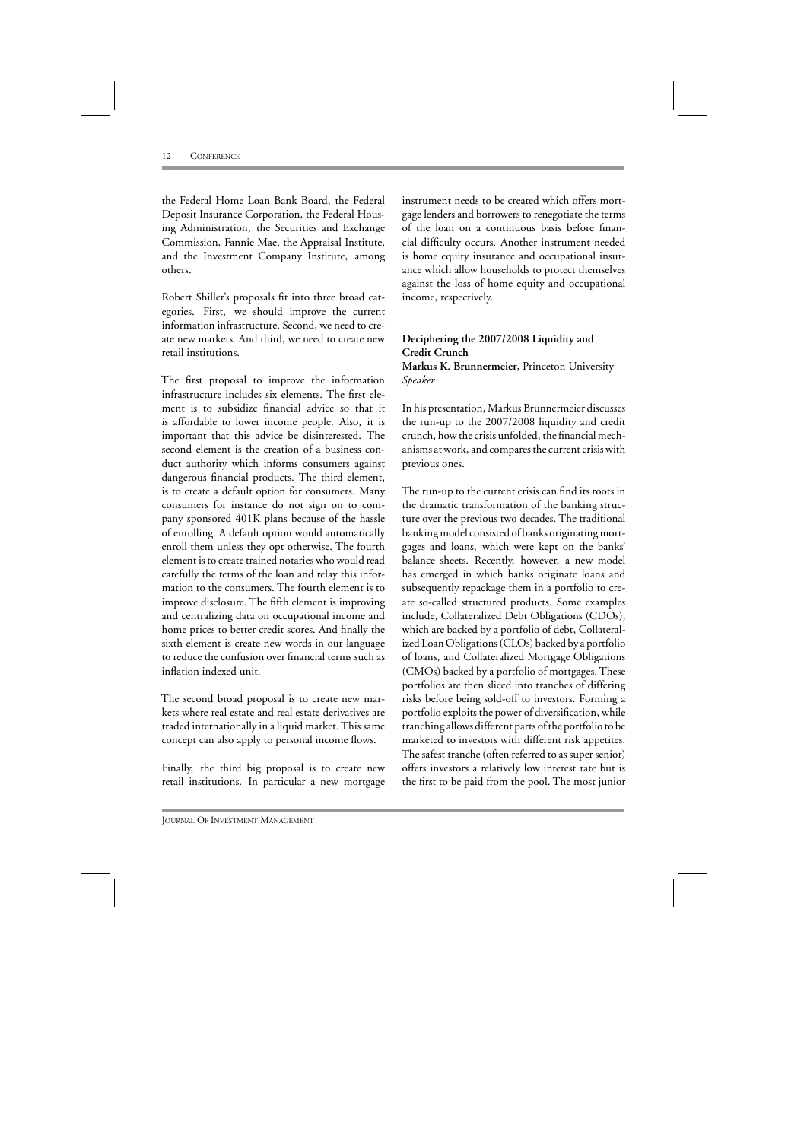the Federal Home Loan Bank Board, the Federal Deposit Insurance Corporation, the Federal Housing Administration, the Securities and Exchange Commission, Fannie Mae, the Appraisal Institute, and the Investment Company Institute, among others.

Robert Shiller's proposals fit into three broad categories. First, we should improve the current information infrastructure. Second, we need to create new markets. And third, we need to create new retail institutions.

The first proposal to improve the information infrastructure includes six elements. The first element is to subsidize financial advice so that it is affordable to lower income people. Also, it is important that this advice be disinterested. The second element is the creation of a business conduct authority which informs consumers against dangerous financial products. The third element, is to create a default option for consumers. Many consumers for instance do not sign on to company sponsored 401K plans because of the hassle of enrolling. A default option would automatically enroll them unless they opt otherwise. The fourth element is to create trained notaries who would read carefully the terms of the loan and relay this information to the consumers. The fourth element is to improve disclosure. The fifth element is improving and centralizing data on occupational income and home prices to better credit scores. And finally the sixth element is create new words in our language to reduce the confusion over financial terms such as inflation indexed unit.

The second broad proposal is to create new markets where real estate and real estate derivatives are traded internationally in a liquid market. This same concept can also apply to personal income flows.

Finally, the third big proposal is to create new retail institutions. In particular a new mortgage

instrument needs to be created which offers mortgage lenders and borrowers to renegotiate the terms of the loan on a continuous basis before financial difficulty occurs. Another instrument needed is home equity insurance and occupational insurance which allow households to protect themselves against the loss of home equity and occupational income, respectively.

# **Deciphering the 2007/2008 Liquidity and Credit Crunch Markus K. Brunnermeier,** Princeton University *Speaker*

In his presentation, Markus Brunnermeier discusses the run-up to the 2007/2008 liquidity and credit crunch, how the crisis unfolded, the financial mechanisms at work, and compares the current crisis with previous ones.

The run-up to the current crisis can find its roots in the dramatic transformation of the banking structure over the previous two decades. The traditional banking model consisted of banks originating mortgages and loans, which were kept on the banks' balance sheets. Recently, however, a new model has emerged in which banks originate loans and subsequently repackage them in a portfolio to create so-called structured products. Some examples include, Collateralized Debt Obligations (CDOs), which are backed by a portfolio of debt, Collateralized Loan Obligations (CLOs) backed by a portfolio of loans, and Collateralized Mortgage Obligations (CMOs) backed by a portfolio of mortgages. These portfolios are then sliced into tranches of differing risks before being sold-off to investors. Forming a portfolio exploits the power of diversification, while tranching allows different parts of the portfolio to be marketed to investors with different risk appetites. The safest tranche (often referred to as super senior) offers investors a relatively low interest rate but is the first to be paid from the pool. The most junior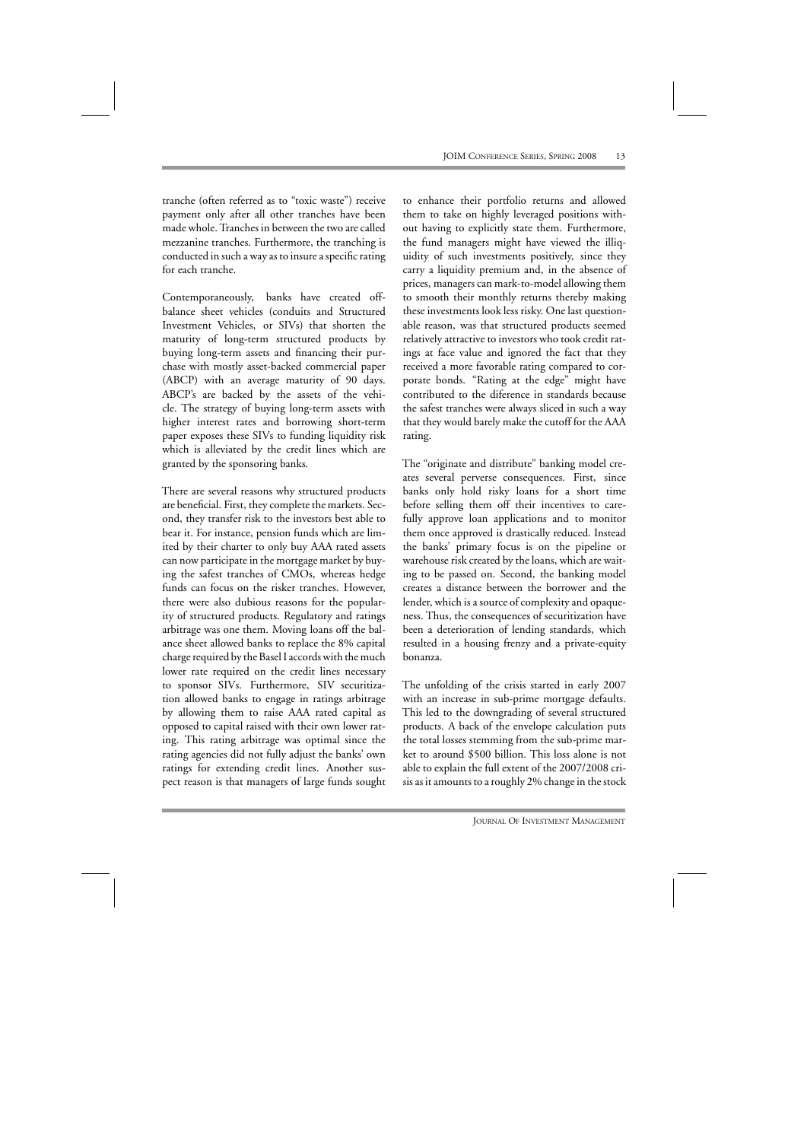tranche (often referred as to "toxic waste") receive payment only after all other tranches have been made whole. Tranches in between the two are called mezzanine tranches. Furthermore, the tranching is conducted in such a way as to insure a specific rating for each tranche.

Contemporaneously, banks have created offbalance sheet vehicles (conduits and Structured Investment Vehicles, or SIVs) that shorten the maturity of long-term structured products by buying long-term assets and financing their purchase with mostly asset-backed commercial paper (ABCP) with an average maturity of 90 days. ABCP's are backed by the assets of the vehicle. The strategy of buying long-term assets with higher interest rates and borrowing short-term paper exposes these SIVs to funding liquidity risk which is alleviated by the credit lines which are granted by the sponsoring banks.

There are several reasons why structured products are beneficial. First, they complete the markets. Second, they transfer risk to the investors best able to bear it. For instance, pension funds which are limited by their charter to only buy AAA rated assets can now participate in the mortgage market by buying the safest tranches of CMOs, whereas hedge funds can focus on the risker tranches. However, there were also dubious reasons for the popularity of structured products. Regulatory and ratings arbitrage was one them. Moving loans off the balance sheet allowed banks to replace the 8% capital charge required by the Basel I accords with the much lower rate required on the credit lines necessary to sponsor SIVs. Furthermore, SIV securitization allowed banks to engage in ratings arbitrage by allowing them to raise AAA rated capital as opposed to capital raised with their own lower rating. This rating arbitrage was optimal since the rating agencies did not fully adjust the banks' own ratings for extending credit lines. Another suspect reason is that managers of large funds sought

to enhance their portfolio returns and allowed them to take on highly leveraged positions without having to explicitly state them. Furthermore, the fund managers might have viewed the illiquidity of such investments positively, since they carry a liquidity premium and, in the absence of prices, managers can mark-to-model allowing them to smooth their monthly returns thereby making these investments look less risky. One last questionable reason, was that structured products seemed relatively attractive to investors who took credit ratings at face value and ignored the fact that they received a more favorable rating compared to corporate bonds. "Rating at the edge" might have contributed to the diference in standards because the safest tranches were always sliced in such a way that they would barely make the cutoff for the AAA rating.

The "originate and distribute" banking model creates several perverse consequences. First, since banks only hold risky loans for a short time before selling them off their incentives to carefully approve loan applications and to monitor them once approved is drastically reduced. Instead the banks' primary focus is on the pipeline or warehouse risk created by the loans, which are waiting to be passed on. Second, the banking model creates a distance between the borrower and the lender, which is a source of complexity and opaqueness. Thus, the consequences of securitization have been a deterioration of lending standards, which resulted in a housing frenzy and a private-equity bonanza.

The unfolding of the crisis started in early 2007 with an increase in sub-prime mortgage defaults. This led to the downgrading of several structured products. A back of the envelope calculation puts the total losses stemming from the sub-prime market to around \$500 billion. This loss alone is not able to explain the full extent of the 2007/2008 crisis as it amounts to a roughly 2% change in the stock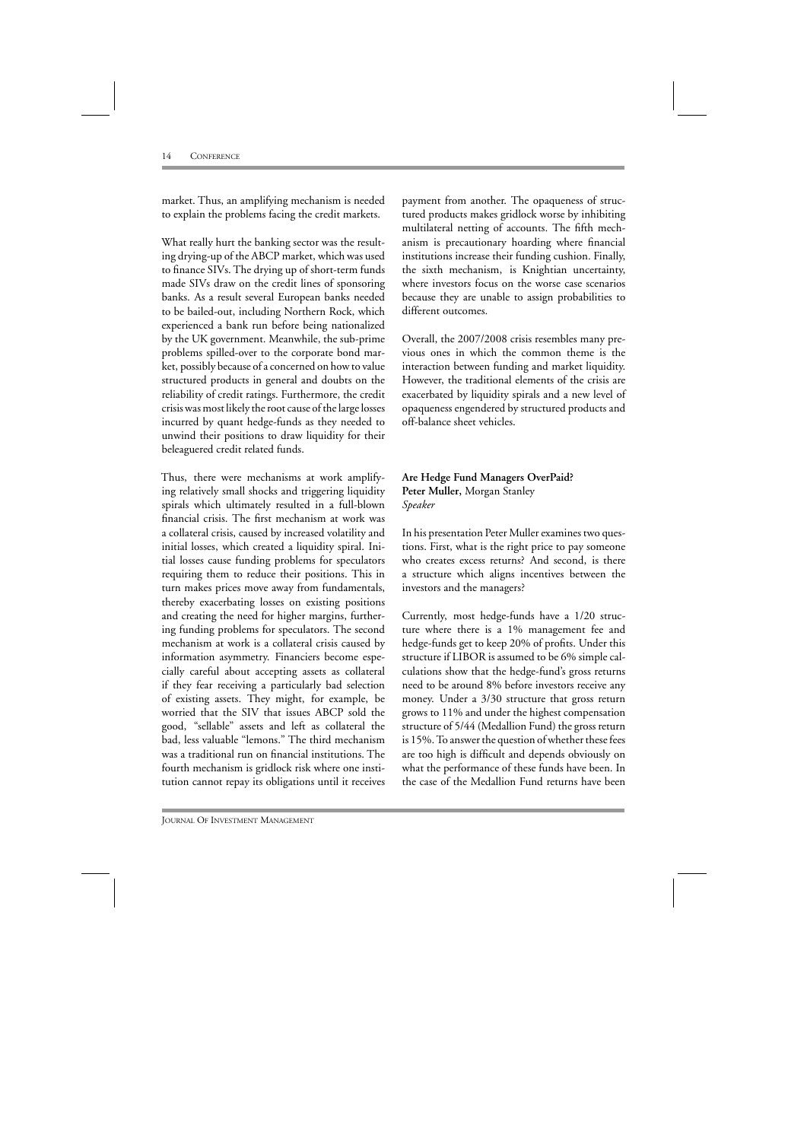market. Thus, an amplifying mechanism is needed to explain the problems facing the credit markets.

What really hurt the banking sector was the resulting drying-up of the ABCP market, which was used to finance SIVs. The drying up of short-term funds made SIVs draw on the credit lines of sponsoring banks. As a result several European banks needed to be bailed-out, including Northern Rock, which experienced a bank run before being nationalized by the UK government. Meanwhile, the sub-prime problems spilled-over to the corporate bond market, possibly because of a concerned on how to value structured products in general and doubts on the reliability of credit ratings. Furthermore, the credit crisis was most likely the root cause of the large losses incurred by quant hedge-funds as they needed to unwind their positions to draw liquidity for their beleaguered credit related funds.

Thus, there were mechanisms at work amplifying relatively small shocks and triggering liquidity spirals which ultimately resulted in a full-blown financial crisis. The first mechanism at work was a collateral crisis, caused by increased volatility and initial losses, which created a liquidity spiral. Initial losses cause funding problems for speculators requiring them to reduce their positions. This in turn makes prices move away from fundamentals, thereby exacerbating losses on existing positions and creating the need for higher margins, furthering funding problems for speculators. The second mechanism at work is a collateral crisis caused by information asymmetry. Financiers become especially careful about accepting assets as collateral if they fear receiving a particularly bad selection of existing assets. They might, for example, be worried that the SIV that issues ABCP sold the good, "sellable" assets and left as collateral the bad, less valuable "lemons." The third mechanism was a traditional run on financial institutions. The fourth mechanism is gridlock risk where one institution cannot repay its obligations until it receives

payment from another. The opaqueness of structured products makes gridlock worse by inhibiting multilateral netting of accounts. The fifth mechanism is precautionary hoarding where financial institutions increase their funding cushion. Finally, the sixth mechanism, is Knightian uncertainty, where investors focus on the worse case scenarios because they are unable to assign probabilities to different outcomes.

Overall, the 2007/2008 crisis resembles many previous ones in which the common theme is the interaction between funding and market liquidity. However, the traditional elements of the crisis are exacerbated by liquidity spirals and a new level of opaqueness engendered by structured products and off-balance sheet vehicles.

#### **Are Hedge Fund Managers OverPaid? Peter Muller,** Morgan Stanley *Speaker*

In his presentation Peter Muller examines two questions. First, what is the right price to pay someone who creates excess returns? And second, is there a structure which aligns incentives between the investors and the managers?

Currently, most hedge-funds have a 1/20 structure where there is a 1% management fee and hedge-funds get to keep 20% of profits. Under this structure if LIBOR is assumed to be 6% simple calculations show that the hedge-fund's gross returns need to be around 8% before investors receive any money. Under a 3/30 structure that gross return grows to 11% and under the highest compensation structure of 5/44 (Medallion Fund) the gross return is 15%. To answer the question of whether these fees are too high is difficult and depends obviously on what the performance of these funds have been. In the case of the Medallion Fund returns have been